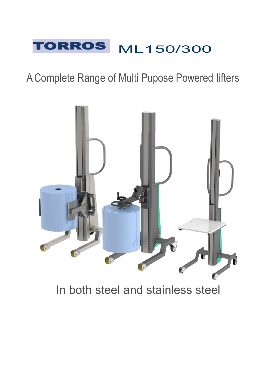

## AComplete Range of Multi Pupose Powered Iifters



# In both steel and stainless steel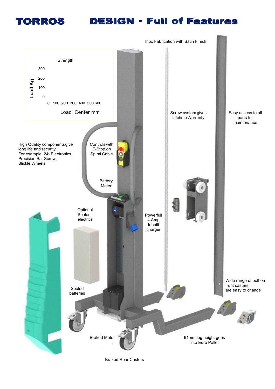#### **DESIGN - Full of Features TORROS**



Braked Rear Casters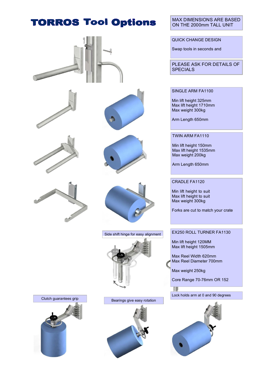### **TORROS Tool Options**















Side shift hinge for easy alignment



Bearings give easy rotation



#### MAX DIMENSIONS ARE BASED ON THE 2000mm TALL UNIT

QUICK CHANGE DESIGN

Swap tools in seconds and

PLEASE ASK FOR DETAILS OF **SPECIALS** 

#### SINGLE ARM FA1100

Min lift height 325mm Max lift height 1710mm Max weight 300kg

Arm Length 650mm

TWIN ARM FA1110

Min lift height 150mm Max lift height 1535mm Max weight 200kg

Arm Length 650mm

#### CRADLE FA1120

Min lift height to suit Max lift height to suit Max weight 300kg

Forks are cut to match your crate

#### EX250 ROLL TURNER FA1130

Min lift height 120MM Max lift height 1505mm

Max Reel Width 620mm Max Reel Diameter 700mm

Max weight 250kg

Core Range 70-76mm OR 152

Lock holds arm at 0 and 90 degrees





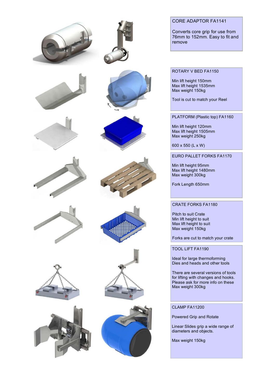

















#### CORE ADAPTOR FA1141

Converts core grip for use from 76mm to 152mm. Easy to fit and remove

#### ROTARY V BED FA1150

Min lift height 150mm Max lift height 1535mm Max weight 150kg

Tool is cut to match your Reel

#### PLATFORM (Plastic top) FA1160

Min lift height 120mm Max lift height 1505mm Max weight 250kg

600 x 550 (L x W)

#### EURO PALLET FORKS FA1170

Min lift height 95mm Max lift height 1480mm Max weight 300kg

Fork Length 650mm

#### CRATE FORKS FA1180

Pitch to suit Crate Min lift height to suit Max lift height to suit Max weight 150kg

Forks are cut to match your crate

TOOL LIFT FA1190

Ideal for large thermoforming Dies and heads and other tools

There are several versions of tools for lifting with changes and hooks. Please ask for more info on these Max weight 300kg

#### CLAMP FA11200

Powered Grip and Rotate

Linear Slides grip a wide range of diameters and objects.

Max weight 150kg